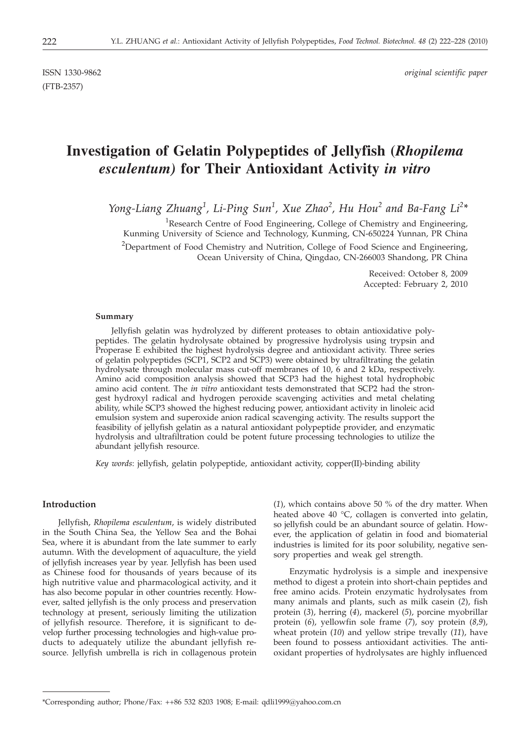(FTB-2357)

# **Investigation of Gelatin Polypeptides of Jellyfish (***Rhopilema esculentum)* **for Their Antioxidant Activity** *in vitro*

*Yong-Liang Zhuang<sup>1</sup> , Li-Ping Sun<sup>1</sup> , Xue Zhao<sup>2</sup> , Hu Hou<sup>2</sup> and Ba-Fang Li<sup>2</sup> \**

<sup>1</sup>Research Centre of Food Engineering, College of Chemistry and Engineering, Kunming University of Science and Technology, Kunming, CN-650224 Yunnan, PR China <sup>2</sup>Department of Food Chemistry and Nutrition, College of Food Science and Engineering, Ocean University of China, Qingdao, CN-266003 Shandong, PR China

> Received: October 8, 2009 Accepted: February 2, 2010

#### **Summary**

Jellyfish gelatin was hydrolyzed by different proteases to obtain antioxidative polypeptides. The gelatin hydrolysate obtained by progressive hydrolysis using trypsin and Properase E exhibited the highest hydrolysis degree and antioxidant activity. Three series of gelatin polypeptides (SCP1, SCP2 and SCP3) were obtained by ultrafiltrating the gelatin hydrolysate through molecular mass cut-off membranes of 10, 6 and 2 kDa, respectively. Amino acid composition analysis showed that SCP3 had the highest total hydrophobic amino acid content. The *in vitro* antioxidant tests demonstrated that SCP2 had the strongest hydroxyl radical and hydrogen peroxide scavenging activities and metal chelating ability, while SCP3 showed the highest reducing power, antioxidant activity in linoleic acid emulsion system and superoxide anion radical scavenging activity. The results support the feasibility of jellyfish gelatin as a natural antioxidant polypeptide provider, and enzymatic hydrolysis and ultrafiltration could be potent future processing technologies to utilize the abundant jellyfish resource.

*Key words*: jellyfish, gelatin polypeptide, antioxidant activity, copper(II)-binding ability

# **Introduction**

Jellyfish, *Rhopilema esculentum*, is widely distributed in the South China Sea, the Yellow Sea and the Bohai Sea, where it is abundant from the late summer to early autumn. With the development of aquaculture, the yield of jellyfish increases year by year. Jellyfish has been used as Chinese food for thousands of years because of its high nutritive value and pharmacological activity, and it has also become popular in other countries recently. However, salted jellyfish is the only process and preservation technology at present, seriously limiting the utilization of jellyfish resource. Therefore, it is significant to develop further processing technologies and high-value products to adequately utilize the abundant jellyfish resource. Jellyfish umbrella is rich in collagenous protein

(*1*), which contains above 50 % of the dry matter. When heated above 40 °C, collagen is converted into gelatin, so jellyfish could be an abundant source of gelatin. However, the application of gelatin in food and biomaterial industries is limited for its poor solubility, negative sensory properties and weak gel strength.

Enzymatic hydrolysis is a simple and inexpensive method to digest a protein into short-chain peptides and free amino acids. Protein enzymatic hydrolysates from many animals and plants, such as milk casein (*2*), fish protein (*3*), herring (*4*), mackerel (*5*), porcine myobrillar protein (*6*), yellowfin sole frame (*7*), soy protein (*8,9*), wheat protein (*10*) and yellow stripe trevally (*11*), have been found to possess antioxidant activities. The antioxidant properties of hydrolysates are highly influenced

<sup>\*</sup>Corresponding author; Phone/Fax: ++86 532 8203 1908; E-mail: qdli1999@yahoo.com.cn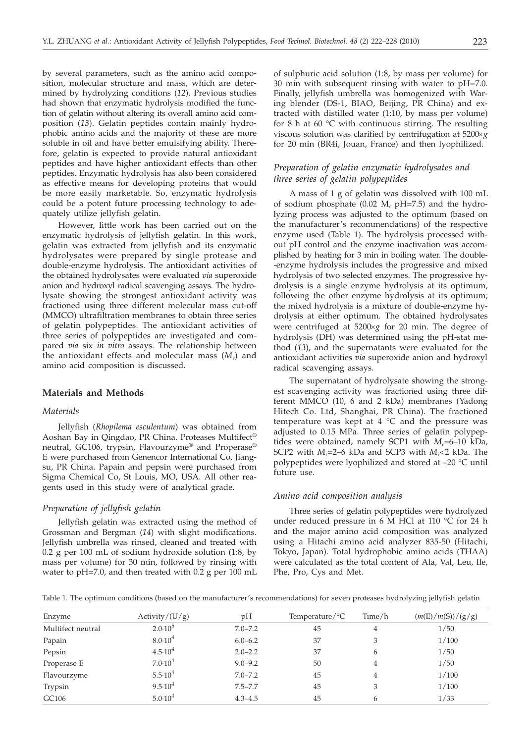by several parameters, such as the amino acid composition, molecular structure and mass, which are determined by hydrolyzing conditions (*12*). Previous studies had shown that enzymatic hydrolysis modified the function of gelatin without altering its overall amino acid composition (*13*). Gelatin peptides contain mainly hydrophobic amino acids and the majority of these are more soluble in oil and have better emulsifying ability. Therefore, gelatin is expected to provide natural antioxidant peptides and have higher antioxidant effects than other peptides. Enzymatic hydrolysis has also been considered as effective means for developing proteins that would be more easily marketable. So, enzymatic hydrolysis could be a potent future processing technology to adequately utilize jellyfish gelatin.

However, little work has been carried out on the enzymatic hydrolysis of jellyfish gelatin. In this work, gelatin was extracted from jellyfish and its enzymatic hydrolysates were prepared by single protease and double-enzyme hydrolysis. The antioxidant activities of the obtained hydrolysates were evaluated *via* superoxide anion and hydroxyl radical scavenging assays. The hydrolysate showing the strongest antioxidant activity was fractioned using three different molecular mass cut-off (MMCO) ultrafiltration membranes to obtain three series of gelatin polypeptides. The antioxidant activities of three series of polypeptides are investigated and compared *via* six *in vitro* assays. The relationship between the antioxidant effects and molecular mass  $(M_r)$  and amino acid composition is discussed.

#### **Materials and Methods**

# *Materials*

Jellyfish (*Rhopilema esculentum*) was obtained from Aoshan Bay in Qingdao, PR China. Proteases Multifect® neutral, GC106, trypsin, Flavourzyme® and Properase® E were purchased from Genencor International Co, Jiangsu, PR China. Papain and pepsin were purchased from Sigma Chemical Co, St Louis, MO, USA. All other reagents used in this study were of analytical grade.

### *Preparation of jellyfish gelatin*

Jellyfish gelatin was extracted using the method of Grossman and Bergman (*14*) with slight modifications. Jellyfish umbrella was rinsed, cleaned and treated with 0.2 g per 100 mL of sodium hydroxide solution (1:8, by mass per volume) for 30 min, followed by rinsing with water to pH=7.0, and then treated with 0.2 g per 100 mL

of sulphuric acid solution (1:8, by mass per volume) for 30 min with subsequent rinsing with water to pH=7.0. Finally, jellyfish umbrella was homogenized with Waring blender (DS-1, BIAO, Beijing, PR China) and extracted with distilled water (1:10, by mass per volume) for 8 h at 60  $\degree$ C with continuous stirring. The resulting viscous solution was clarified by centrifugation at  $5200 \times g$ for 20 min (BR4i, Jouan, France) and then lyophilized.

# *Preparation of gelatin enzymatic hydrolysates and three series of gelatin polypeptides*

A mass of 1 g of gelatin was dissolved with 100 mL of sodium phosphate (0.02 M, pH=7.5) and the hydrolyzing process was adjusted to the optimum (based on the manufacturer's recommendations) of the respective enzyme used (Table 1). The hydrolysis processed without pH control and the enzyme inactivation was accomplished by heating for 3 min in boiling water. The double- -enzyme hydrolysis includes the progressive and mixed hydrolysis of two selected enzymes. The progressive hydrolysis is a single enzyme hydrolysis at its optimum, following the other enzyme hydrolysis at its optimum; the mixed hydrolysis is a mixture of double-enzyme hydrolysis at either optimum. The obtained hydrolysates were centrifuged at 5200×g for 20 min. The degree of hydrolysis (DH) was determined using the pH-stat method (*13*), and the supernatants were evaluated for the antioxidant activities *via* superoxide anion and hydroxyl radical scavenging assays.

The supernatant of hydrolysate showing the strongest scavenging activity was fractioned using three different MMCO (10, 6 and 2 kDa) membranes (Yadong Hitech Co. Ltd, Shanghai, PR China). The fractioned temperature was kept at  $4 \degree C$  and the pressure was adjusted to 0.15 MPa. Three series of gelatin polypeptides were obtained, namely SCP1 with  $M_r$ =6–10 kDa, SCP2 with *M*r=2–6 kDa and SCP3 with *M*r<2 kDa. The polypeptides were lyophilized and stored at –20 °C until future use.

#### *Amino acid composition analysis*

Three series of gelatin polypeptides were hydrolyzed under reduced pressure in 6 M HCl at 110 °C for 24 h and the major amino acid composition was analyzed using a Hitachi amino acid analyzer 835-50 (Hitachi, Tokyo, Japan). Total hydrophobic amino acids (THAA) were calculated as the total content of Ala, Val, Leu, Ile, Phe, Pro, Cys and Met.

Table 1. The optimum conditions (based on the manufacturer's recommendations) for seven proteases hydrolyzing jellyfish gelatin

| Enzyme            | Activity/(U/g)     | pH          | Temperature/ ${}^{\circ}C$ | Time/h | (m(E)/m(S))/(g/g) |
|-------------------|--------------------|-------------|----------------------------|--------|-------------------|
| Multifect neutral | $2.0 \cdot 10^{5}$ | $7.0 - 7.2$ | 45                         | 4      | 1/50              |
| Papain            | $8.0 \cdot 10^4$   | $6.0 - 6.2$ | 37                         | 3      | 1/100             |
| Pepsin            | $4.5 \cdot 10^4$   | $2.0 - 2.2$ | 37                         | 6      | 1/50              |
| Properase E       | $7.0 \cdot 10^4$   | $9.0 - 9.2$ | 50                         | 4      | 1/50              |
| Flavourzyme       | $5.5 \cdot 10^4$   | $7.0 - 7.2$ | 45                         | 4      | 1/100             |
| Trypsin           | $9.5 \cdot 10^4$   | $7.5 - 7.7$ | 45                         | 3      | 1/100             |
| GC106             | $5.0 \cdot 10^4$   | $4.3 - 4.5$ | 45                         | 6      | 1/33              |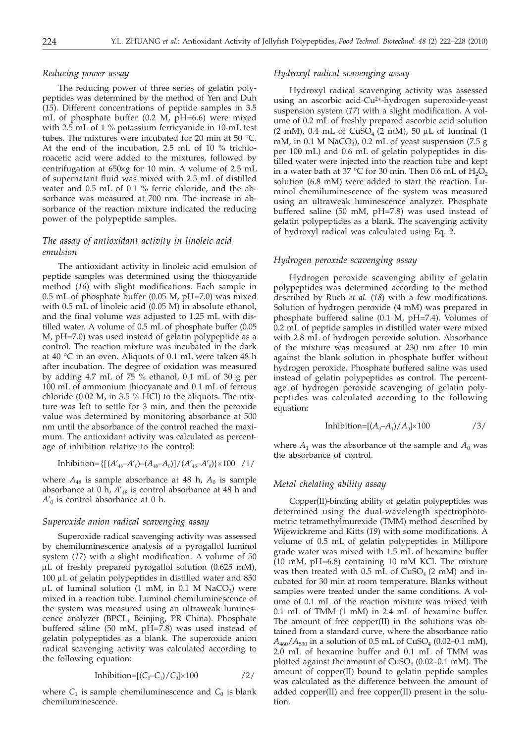# *Reducing power assay*

The reducing power of three series of gelatin polypeptides was determined by the method of Yen and Duh (*15*). Different concentrations of peptide samples in 3.5 mL of phosphate buffer (0.2 M, pH=6.6) were mixed with 2.5 mL of 1 % potassium ferricyanide in 10-mL test tubes. The mixtures were incubated for 20 min at 50 °C. At the end of the incubation, 2.5 mL of 10 % trichloroacetic acid were added to the mixtures, followed by centrifugation at  $650 \times g$  for 10 min. A volume of 2.5 mL of supernatant fluid was mixed with 2.5 mL of distilled water and 0.5 mL of 0.1 % ferric chloride, and the absorbance was measured at 700 nm. The increase in absorbance of the reaction mixture indicated the reducing power of the polypeptide samples.

# *The assay of antioxidant activity in linoleic acid emulsion*

The antioxidant activity in linoleic acid emulsion of peptide samples was determined using the thiocyanide method (*16*) with slight modifications. Each sample in 0.5 mL of phosphate buffer (0.05 M, pH=7.0) was mixed with 0.5 mL of linoleic acid (0.05 M) in absolute ethanol, and the final volume was adjusted to 1.25 mL with distilled water. A volume of 0.5 mL of phosphate buffer (0.05 M, pH=7.0) was used instead of gelatin polypeptide as a control. The reaction mixture was incubated in the dark at 40 °C in an oven. Aliquots of 0.1 mL were taken 48 h after incubation. The degree of oxidation was measured by adding 4.7 mL of 75 % ethanol, 0.1 mL of 30 g per 100 mL of ammonium thiocyanate and 0.1 mL of ferrous chloride (0.02 M, in 3.5 % HCl) to the aliquots. The mixture was left to settle for 3 min, and then the peroxide value was determined by monitoring absorbance at 500 nm until the absorbance of the control reached the maximum. The antioxidant activity was calculated as percentage of inhibition relative to the control:

Inhibition=
$$
\{[(A'_{48}-A'_{0})-(A_{48}-A_{0})]/(A'_{48}-A'_{0})\}\times100/1/
$$

where  $A_{48}$  is sample absorbance at 48 h,  $A_0$  is sample absorbance at 0 h,  $A'_{48}$  is control absorbance at 48 h and  $A'_0$  is control absorbance at 0 h.

# *Superoxide anion radical scavenging assay*

Superoxide radical scavenging activity was assessed by chemiluminescence analysis of a pyrogallol luminol system (*17*) with a slight modification. A volume of 50 µL of freshly prepared pyrogallol solution (0.625 mM),  $100 \mu L$  of gelatin polypeptides in distilled water and 850  $\mu$ L of luminal solution (1 mM, in 0.1 M NaCO<sub>3</sub>) were mixed in a reaction tube. Luminol chemiluminescence of the system was measured using an ultraweak luminescence analyzer (BPCL, Beinjing, PR China). Phosphate buffered saline (50 mM, pH=7.8) was used instead of gelatin polypeptides as a blank. The superoxide anion radical scavenging activity was calculated according to the following equation:

$$
Inhibition=[(C_0-C_1)/C_0] \times 100 \qquad \qquad /2/
$$

where  $C_1$  is sample chemiluminescence and  $C_0$  is blank chemiluminescence.

# *Hydroxyl radical scavenging assay*

Hydroxyl radical scavenging activity was assessed using an ascorbic acid-Cu<sup>2+</sup>-hydrogen superoxide-yeast suspension system (*17*) with a slight modification. A volume of 0.2 mL of freshly prepared ascorbic acid solution (2 mM),  $0.4$  mL of CuSO<sub>4</sub> (2 mM),  $50 \mu L$  of luminal (1 mM, in  $0.1$  M NaCO<sub>3</sub>),  $0.2$  mL of yeast suspension (7.5 g per 100 mL) and 0.6 mL of gelatin polypeptides in distilled water were injected into the reaction tube and kept in a water bath at  $37 \text{ °C}$  for 30 min. Then 0.6 mL of  $H_2O_2$ solution (6.8 mM) were added to start the reaction. Luminol chemiluminescence of the system was measured using an ultraweak luminescence analyzer. Phosphate buffered saline (50 mM, pH=7.8) was used instead of gelatin polypeptides as a blank. The scavenging activity of hydroxyl radical was calculated using Eq. 2.

#### *Hydrogen peroxide scavenging assay*

Hydrogen peroxide scavenging ability of gelatin polypeptides was determined according to the method described by Ruch *et al.* (*18*) with a few modifications. Solution of hydrogen peroxide (4 mM) was prepared in phosphate buffered saline (0.1 M, pH=7.4). Volumes of 0.2 mL of peptide samples in distilled water were mixed with 2.8 mL of hydrogen peroxide solution. Absorbance of the mixture was measured at 230 nm after 10 min against the blank solution in phosphate buffer without hydrogen peroxide. Phosphate buffered saline was used instead of gelatin polypeptides as control. The percentage of hydrogen peroxide scavenging of gelatin polypeptides was calculated according to the following equation:

Inhibition=[
$$
(A_0-A_1)/A_0
$$
] $\times$ 100  $/3/$ 

where  $A_1$  was the absorbance of the sample and  $A_0$  was the absorbance of control.

# *Metal chelating ability assay*

Copper(II)-binding ability of gelatin polypeptides was determined using the dual-wavelength spectrophotometric tetramethylmurexide (TMM) method described by Wijewickreme and Kitts (*19*) with some modifications. A volume of 0.5 mL of gelatin polypeptides in Millipore grade water was mixed with 1.5 mL of hexamine buffer (10 mM, pH=6.8) containing 10 mM KCl. The mixture was then treated with  $0.5$  mL of CuSO<sub>4</sub> (2 mM) and incubated for 30 min at room temperature. Blanks without samples were treated under the same conditions. A volume of 0.1 mL of the reaction mixture was mixed with 0.1 mL of TMM (1 mM) in 2.4 mL of hexamine buffer. The amount of free copper(II) in the solutions was obtained from a standard curve, where the absorbance ratio  $A_{460}/A_{530}$  in a solution of 0.5 mL of CuSO<sub>4</sub> (0.02–0.1 mM), 2.0 mL of hexamine buffer and 0.1 mL of TMM was plotted against the amount of  $CuSO<sub>4</sub>$  (0.02–0.1 mM). The amount of copper(II) bound to gelatin peptide samples was calculated as the difference between the amount of added copper(II) and free copper(II) present in the solution.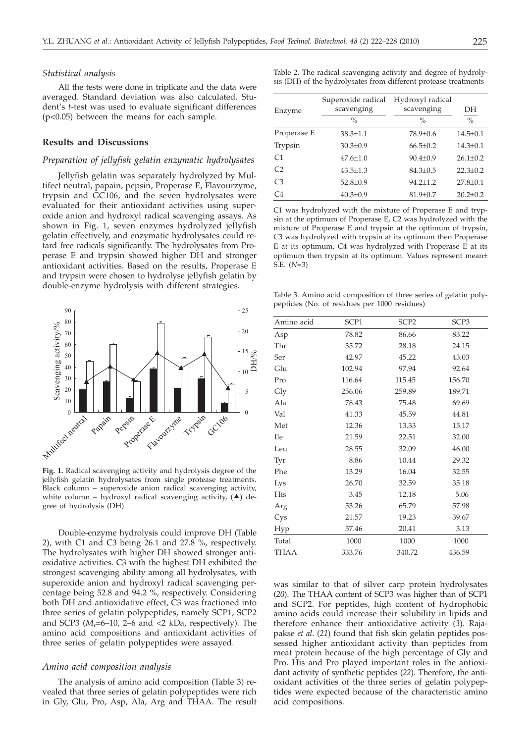#### *Statistical analysis*

All the tests were done in triplicate and the data were averaged. Standard deviation was also calculated. Student's *t*-test was used to evaluate significant differences (p<0.05) between the means for each sample.

# **Results and Discussions**

# *Preparation of jellyfish gelatin enzymatic hydrolysates*

Jellyfish gelatin was separately hydrolyzed by Multifect neutral, papain, pepsin, Properase E, Flavourzyme, trypsin and GC106, and the seven hydrolysates were evaluated for their antioxidant activities using superoxide anion and hydroxyl radical scavenging assays. As shown in Fig. 1, seven enzymes hydrolyzed jellyfish gelatin effectively, and enzymatic hydrolysates could retard free radicals significantly. The hydrolysates from Properase E and trypsin showed higher DH and stronger antioxidant activities. Based on the results, Properase E and trypsin were chosen to hydrolyse jellyfish gelatin by double-enzyme hydrolysis with different strategies.



**Fig. 1.** Radical scavenging activity and hydrolysis degree of the jellyfish gelatin hydrolysates from single protease treatments. Black column – superoxide anion radical scavenging activity, white column – hydroxyl radical scavenging activity,  $(4)$  degree of hydrolysis (DH)

Double-enzyme hydrolysis could improve DH (Table 2), with C1 and C3 being 26.1 and 27.8 %, respectively. The hydrolysates with higher DH showed stronger antioxidative activities. C3 with the highest DH exhibited the strongest scavenging ability among all hydrolysates, with superoxide anion and hydroxyl radical scavenging percentage being 52.8 and 94.2 %, respectively. Considering both DH and antioxidative effect, C3 was fractioned into three series of gelatin polypeptides, namely SCP1, SCP2 and SCP3 ( $M_r$ =6–10, 2–6 and <2 kDa, respectively). The amino acid compositions and antioxidant activities of three series of gelatin polypeptides were assayed.

### *Amino acid composition analysis*

The analysis of amino acid composition (Table 3) revealed that three series of gelatin polypeptides were rich in Gly, Glu, Pro, Asp, Ala, Arg and THAA. The result Table 2. The radical scavenging activity and degree of hydrolysis (DH) of the hydrolysates from different protease treatments

| Enzyme         | Superoxide radical<br>scavenging<br>$\frac{0}{0}$ | Hydroxyl radical<br>scavenging<br>$\frac{0}{0}$ | DH<br>$\%$     |
|----------------|---------------------------------------------------|-------------------------------------------------|----------------|
| Properase E    | $38.3 \pm 1.1$                                    | 78.9±0.6                                        | $14.5 \pm 0.1$ |
| Trypsin        | $30.3 \pm 0.9$                                    | $66.5 \pm 0.2$                                  | $14.3 \pm 0.1$ |
| C1             | $47.6 \pm 1.0$                                    | $90.4 \pm 0.9$                                  | $26.1 \pm 0.2$ |
| C <sub>2</sub> | $43.5 \pm 1.3$                                    | $84.3 \pm 0.5$                                  | $22.3 \pm 0.2$ |
| C <sub>3</sub> | $52.8 \pm 0.9$                                    | $94.2 \pm 1.2$                                  | $27.8 \pm 0.1$ |
| C <sub>4</sub> | $40.3 \pm 0.9$                                    | $81.9 \pm 0.7$                                  | $20.2 \pm 0.2$ |

C1 was hydrolyzed with the mixture of Properase E and trypsin at the optimum of Properase E, C2 was hydrolyzed with the mixture of Properase E and trypsin at the optimum of trypsin, C3 was hydrolyzed with trypsin at its optimum then Properase E at its optimum, C4 was hydrolyzed with Properase E at its optimum then trypsin at its optimum. Values represent mean± S.E. (*N*=3)

Table 3. Amino acid composition of three series of gelatin polypeptides (No. of residues per 1000 residues)

| Amino acid | SCP1   | SCP <sub>2</sub> | SCP3   |
|------------|--------|------------------|--------|
| Asp        | 78.82  | 86.66            | 83.22  |
| Thr        | 35.72  | 28.18            | 24.15  |
| Ser        | 42.97  | 45.22            | 43.03  |
| Glu        | 102.94 | 97.94            | 92.64  |
| Pro        | 116.64 | 115.45           | 156.70 |
| Gly        | 256.06 | 259.89           | 189.71 |
| Ala        | 78.43  | 75.48            | 69.69  |
| Val        | 41.33  | 45.59            | 44.81  |
| Met        | 12.36  | 13.33            | 15.17  |
| <b>Ile</b> | 21.59  | 22.51            | 32.00  |
| Leu        | 28.55  | 32.09            | 46.00  |
| Tyr        | 8.86   | 10.44            | 29.32  |
| Phe        | 13.29  | 16.04            | 32.55  |
| Lys        | 26.70  | 32.59            | 35.18  |
| His        | 3.45   | 12.18            | 5.06   |
| Arg        | 53.26  | 65.79            | 57.98  |
| Cys        | 21.57  | 19.23            | 39.67  |
| Hyp        | 57.46  | 20.41            | 3.13   |
| Total      | 1000   | 1000             | 1000   |
| THAA       | 333.76 | 340.72           | 436.59 |

was similar to that of silver carp protein hydrolysates (*20*). The THAA content of SCP3 was higher than of SCP1 and SCP2. For peptides, high content of hydrophobic amino acids could increase their solubility in lipids and therefore enhance their antioxidative activity (*3*). Rajapakse *et al*. (*21*) found that fish skin gelatin peptides possessed higher antioxidant activity than peptides from meat protein because of the high percentage of Gly and Pro. His and Pro played important roles in the antioxidant activity of synthetic peptides (*22*). Therefore, the antioxidant activities of the three series of gelatin polypeptides were expected because of the characteristic amino acid compositions.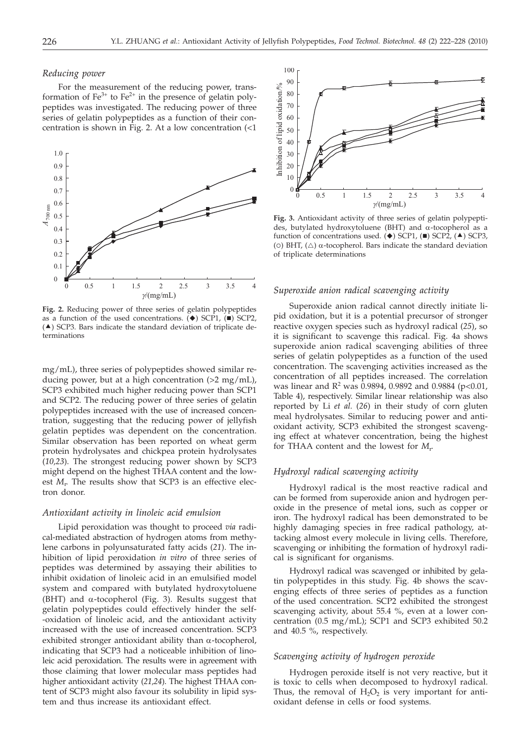#### *Reducing power*

For the measurement of the reducing power, transformation of  $Fe^{3+}$  to  $Fe^{2+}$  in the presence of gelatin polypeptides was investigated. The reducing power of three series of gelatin polypeptides as a function of their concentration is shown in Fig. 2. At a low concentration (<1



**Fig. 2.** Reducing power of three series of gelatin polypeptides as a function of the used concentrations.  $(\blacklozenge)$  SCP1,  $(\blacksquare)$  SCP2,  $($   $\blacktriangle$ ) SCP3. Bars indicate the standard deviation of triplicate determinations

mg/mL), three series of polypeptides showed similar reducing power, but at a high concentration  $(>2 \text{ mg/mL})$ , SCP3 exhibited much higher reducing power than SCP1 and SCP2. The reducing power of three series of gelatin polypeptides increased with the use of increased concentration, suggesting that the reducing power of jellyfish gelatin peptides was dependent on the concentration. Similar observation has been reported on wheat germ protein hydrolysates and chickpea protein hydrolysates (*10,23*). The strongest reducing power shown by SCP3 might depend on the highest THAA content and the lowest *M*<sub>r</sub>. The results show that SCP3 is an effective electron donor.

#### *Antioxidant activity in linoleic acid emulsion*

Lipid peroxidation was thought to proceed *via* radical-mediated abstraction of hydrogen atoms from methylene carbons in polyunsaturated fatty acids (*21*). The inhibition of lipid peroxidation *in vitro* of three series of peptides was determined by assaying their abilities to inhibit oxidation of linoleic acid in an emulsified model system and compared with butylated hydroxytoluene (BHT) and  $\alpha$ -tocopherol (Fig. 3). Results suggest that gelatin polypeptides could effectively hinder the self- -oxidation of linoleic acid, and the antioxidant activity increased with the use of increased concentration. SCP3 exhibited stronger antioxidant ability than  $\alpha$ -tocopherol, indicating that SCP3 had a noticeable inhibition of linoleic acid peroxidation. The results were in agreement with those claiming that lower molecular mass peptides had higher antioxidant activity (*21,24*). The highest THAA content of SCP3 might also favour its solubility in lipid system and thus increase its antioxidant effect.



**Fig. 3.** Antioxidant activity of three series of gelatin polypeptides, butylated hydroxytoluene (BHT) and  $\alpha$ -tocopherol as a function of concentrations used.  $(\blacklozenge)$  SCP1,  $(\blacksquare)$  SCP2,  $(\blacktriangle)$  SCP3, (o) BHT,  $(\triangle)$   $\alpha$ -tocopherol. Bars indicate the standard deviation of triplicate determinations

#### *Superoxide anion radical scavenging activity*

Superoxide anion radical cannot directly initiate lipid oxidation, but it is a potential precursor of stronger reactive oxygen species such as hydroxyl radical (*25*), so it is significant to scavenge this radical. Fig. 4a shows superoxide anion radical scavenging abilities of three series of gelatin polypeptides as a function of the used concentration. The scavenging activities increased as the concentration of all peptides increased. The correlation was linear and  $R^2$  was 0.9894, 0.9892 and 0.9884 (p<0.01, Table 4), respectively. Similar linear relationship was also reported by Li *et al.* (*26*) in their study of corn gluten meal hydrolysates. Similar to reducing power and antioxidant activity, SCP3 exhibited the strongest scavenging effect at whatever concentration, being the highest for THAA content and the lowest for *M*<sup>r</sup> .

#### *Hydroxyl radical scavenging activity*

Hydroxyl radical is the most reactive radical and can be formed from superoxide anion and hydrogen peroxide in the presence of metal ions, such as copper or iron. The hydroxyl radical has been demonstrated to be highly damaging species in free radical pathology, attacking almost every molecule in living cells. Therefore, scavenging or inhibiting the formation of hydroxyl radical is significant for organisms.

Hydroxyl radical was scavenged or inhibited by gelatin polypeptides in this study. Fig. 4b shows the scavenging effects of three series of peptides as a function of the used concentration. SCP2 exhibited the strongest scavenging activity, about 55.4 %, even at a lower concentration (0.5 mg/mL); SCP1 and SCP3 exhibited 50.2 and 40.5 %, respectively.

# *Scavenging activity of hydrogen peroxide*

Hydrogen peroxide itself is not very reactive, but it is toxic to cells when decomposed to hydroxyl radical. Thus, the removal of  $H_2O_2$  is very important for antioxidant defense in cells or food systems.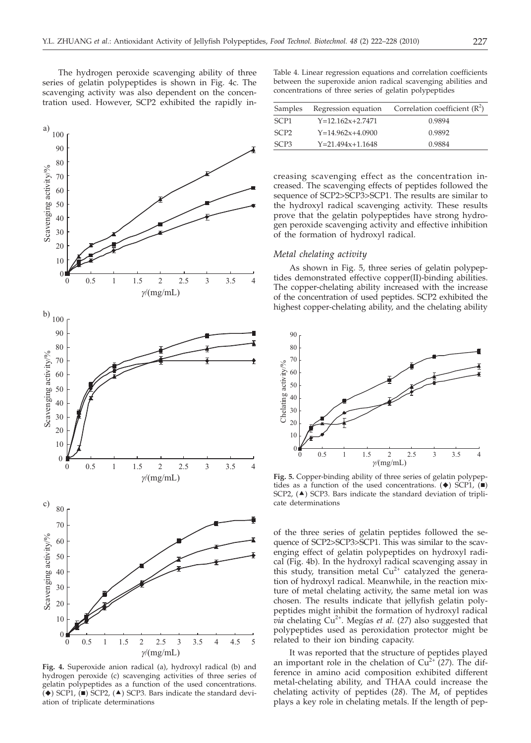The hydrogen peroxide scavenging ability of three series of gelatin polypeptides is shown in Fig. 4c. The scavenging activity was also dependent on the concentration used. However, SCP2 exhibited the rapidly in-



**Fig. 4.** Superoxide anion radical (a), hydroxyl radical (b) and hydrogen peroxide (c) scavenging activities of three series of gelatin polypeptides as a function of the used concentrations.  $\check{ }$  ( $\bullet$ ) SCP1,  $\check{ }$  ( $\bullet$ ) SCP2, ( $\blacktriangle$ ) SCP3. Bars indicate the standard deviation of triplicate determinations

Table 4. Linear regression equations and correlation coefficients between the superoxide anion radical scavenging abilities and concentrations of three series of gelatin polypeptides

| Samples          | Regression equation    | Correlation coefficient $(R^2)$ |
|------------------|------------------------|---------------------------------|
| SCP <sub>1</sub> | $Y=12.162x+2.7471$     | 0.9894                          |
| SCP <sub>2</sub> | $Y=14.962x+4.0900$     | 0.9892                          |
| SCP <sub>3</sub> | $Y = 21.494x + 1.1648$ | 0.9884                          |

creasing scavenging effect as the concentration increased. The scavenging effects of peptides followed the sequence of SCP2>SCP3>SCP1. The results are similar to the hydroxyl radical scavenging activity. These results prove that the gelatin polypeptides have strong hydrogen peroxide scavenging activity and effective inhibition of the formation of hydroxyl radical.

# *Metal chelating activity*

As shown in Fig. 5, three series of gelatin polypeptides demonstrated effective copper(II)-binding abilities. The copper-chelating ability increased with the increase of the concentration of used peptides. SCP2 exhibited the highest copper-chelating ability, and the chelating ability



**Fig. 5.** Copper-binding ability of three series of gelatin polypeptides as a function of the used concentrations.  $(\blacklozenge)$  SCP1,  $(\blacksquare)$ SCP2,  $(4)$  SCP3. Bars indicate the standard deviation of triplicate determinations

of the three series of gelatin peptides followed the sequence of SCP2>SCP3>SCP1. This was similar to the scavenging effect of gelatin polypeptides on hydroxyl radical (Fig. 4b). In the hydroxyl radical scavenging assay in this study, transition metal  $Cu^{2+}$  catalyzed the generation of hydroxyl radical. Meanwhile, in the reaction mixture of metal chelating activity, the same metal ion was chosen. The results indicate that jellyfish gelatin polypeptides might inhibit the formation of hydroxyl radical *via* chelating Cu<sup>2+</sup>. Megías *et al.* (27) also suggested that polypeptides used as peroxidation protector might be related to their ion binding capacity.

It was reported that the structure of peptides played an important role in the chelation of  $Cu<sup>2+</sup> (27)$ . The difference in amino acid composition exhibited different metal-chelating ability, and THAA could increase the chelating activity of peptides (*28*). The *M*<sup>r</sup> of peptides plays a key role in chelating metals. If the length of pep